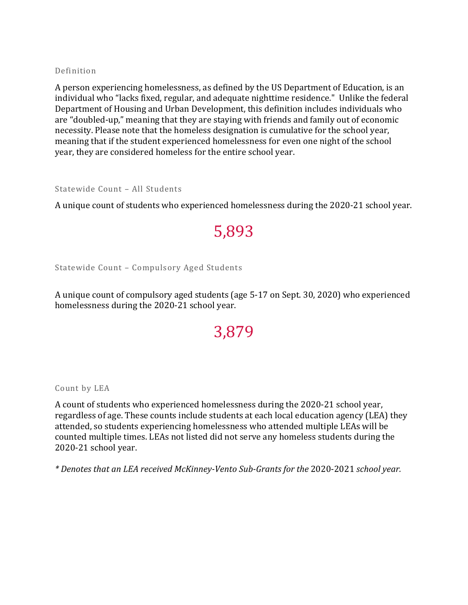## Definition

A person experiencing homelessness, as defined by the US Department of Education, is an individual who "lacks fixed, regular, and adequate nighttime residence." Unlike the federal Department of Housing and Urban Development, this definition includes individuals who are "doubled-up," meaning that they are staying with friends and family out of economic necessity. Please note that the homeless designation is cumulative for the school year, meaning that if the student experienced homelessness for even one night of the school year, they are considered homeless for the entire school year.

## Statewide Count – All Students

A unique count of students who experienced homelessness during the 2020-21 school year.

## 5,893

Statewide Count – Compulsory Aged Students

A unique count of compulsory aged students (age 5-17 on Sept. 30, 2020) who experienced homelessness during the 2020-21 school year.

## 3,879

Count by LEA

A count of students who experienced homelessness during the 2020-21 school year, regardless of age. These counts include students at each local education agency (LEA) they attended, so students experiencing homelessness who attended multiple LEAs will be counted multiple times. LEAs not listed did not serve any homeless students during the 2020-21 school year.

*\* Denotes that an LEA received McKinney-Vento Sub-Grants for the* 2020-2021 *school year.*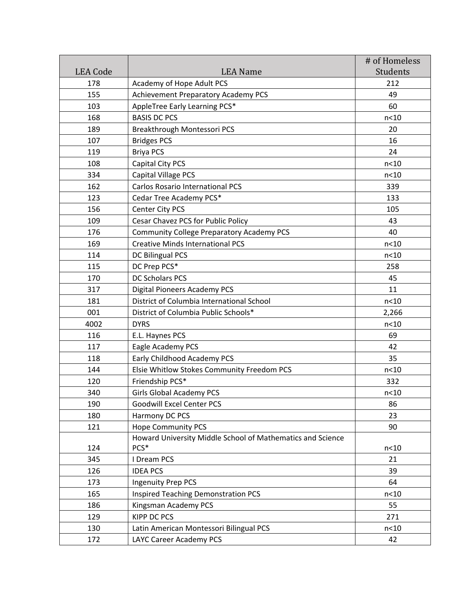|                 |                                                            | # of Homeless |
|-----------------|------------------------------------------------------------|---------------|
| <b>LEA</b> Code | <b>LEA Name</b>                                            | Students      |
| 178             | Academy of Hope Adult PCS                                  | 212           |
| 155             | Achievement Preparatory Academy PCS                        | 49            |
| 103             | AppleTree Early Learning PCS*                              | 60            |
| 168             | <b>BASIS DC PCS</b>                                        | n<10          |
| 189             | Breakthrough Montessori PCS                                | 20            |
| 107             | <b>Bridges PCS</b>                                         | 16            |
| 119             | <b>Briya PCS</b>                                           | 24            |
| 108             | Capital City PCS                                           | n<10          |
| 334             | <b>Capital Village PCS</b>                                 | n < 10        |
| 162             | <b>Carlos Rosario International PCS</b>                    | 339           |
| 123             | Cedar Tree Academy PCS*                                    | 133           |
| 156             | Center City PCS                                            | 105           |
| 109             | Cesar Chavez PCS for Public Policy                         | 43            |
| 176             | <b>Community College Preparatory Academy PCS</b>           | 40            |
| 169             | <b>Creative Minds International PCS</b>                    | n<10          |
| 114             | DC Bilingual PCS                                           | n<10          |
| 115             | DC Prep PCS*                                               | 258           |
| 170             | <b>DC Scholars PCS</b>                                     | 45            |
| 317             | Digital Pioneers Academy PCS                               | 11            |
| 181             | District of Columbia International School                  | n<10          |
| 001             | District of Columbia Public Schools*                       | 2,266         |
| 4002            | <b>DYRS</b>                                                | n<10          |
| 116             | E.L. Haynes PCS                                            | 69            |
| 117             | Eagle Academy PCS                                          | 42            |
| 118             | Early Childhood Academy PCS                                | 35            |
| 144             | Elsie Whitlow Stokes Community Freedom PCS                 | n<10          |
| 120             | Friendship PCS*                                            | 332           |
| 340             | <b>Girls Global Academy PCS</b>                            | n<10          |
| 190             | <b>Goodwill Excel Center PCS</b>                           | 86            |
| 180             | Harmony DC PCS                                             | 23            |
| 121             | <b>Hope Community PCS</b>                                  | 90            |
|                 | Howard University Middle School of Mathematics and Science |               |
| 124             | PCS*                                                       | n<10          |
| 345             | I Dream PCS                                                | 21            |
| 126             | <b>IDEA PCS</b>                                            | 39            |
| 173             | <b>Ingenuity Prep PCS</b>                                  | 64            |
| 165             | <b>Inspired Teaching Demonstration PCS</b>                 | n<10          |
| 186             | Kingsman Academy PCS                                       | 55            |
| 129             | <b>KIPP DC PCS</b>                                         | 271           |
| 130             | Latin American Montessori Bilingual PCS                    | n<10          |
| 172             | LAYC Career Academy PCS                                    | 42            |